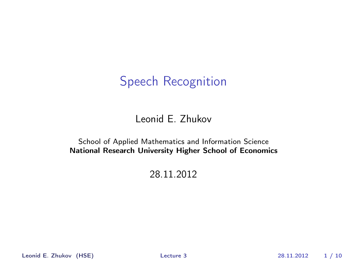Speech Recognition

#### Leonid E. Zhukov

#### School of Applied Mathematics and Information Science National Research University Higher School of Economics

#### 28.11.2012

Leonid E. Zhukov (HSE) [Lecture 3](#page-9-0) 28.11.2012 1 / 10

<span id="page-0-0"></span>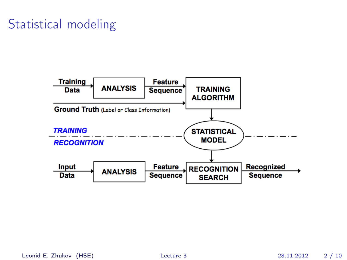## Statistical modeling

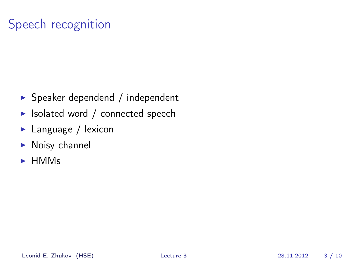# Speech recognition

- $\blacktriangleright$  Speaker dependend / independent
- $\blacktriangleright$  Isolated word / connected speech
- $\blacktriangleright$  Language / lexicon
- $\blacktriangleright$  Noisy channel
- $\blacktriangleright$  HMMs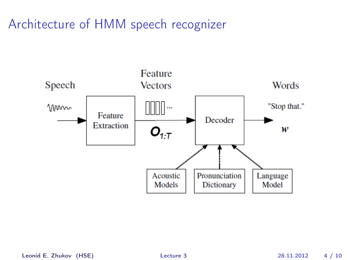## Architecture of HMM speech recognizer

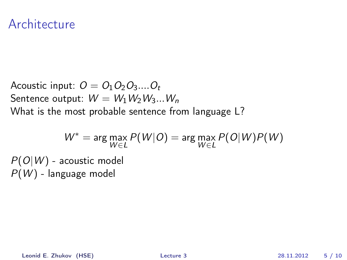#### Architecture

Acoustic input:  $O = O_1O_2O_3...O_t$ Sentence output:  $W = W_1 W_2 W_3 ... W_n$ What is the most probable sentence from language L?

$$
W^* = \arg\max_{W \in L} P(W|O) = \arg\max_{W \in L} P(O|W)P(W)
$$
  

$$
P(O|W) - \text{acoustic model}
$$
  

$$
P(W) - \text{language model}
$$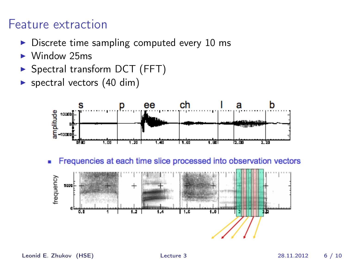### Feature extraction

- $\triangleright$  Discrete time sampling computed every 10 ms
- $\blacktriangleright$  Window 25ms
- $\triangleright$  Spectral transform DCT (FFT)
- $\triangleright$  spectral vectors (40 dim)



Frequencies at each time slice processed into observation vectors ٠

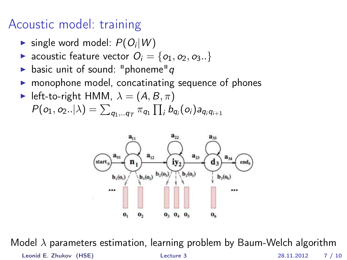## Acoustic model: training

- $\blacktriangleright$  single word model:  $P(O_i|W)$
- acoustic feature vector  $O_i = \{o_1, o_2, o_3..\}$
- basic unit of sound: "phoneme"  $q$
- monophone model, concatinating sequence of phones
- left-to-right HMM,  $\lambda = (A, B, \pi)$  $P(o_1, o_2..|\lambda) = \sum_{q_1,..q_T} \pi_{q_1} \prod_i b_{q_i}(o_i) a_{q_i q_{i+1}}$



Model λ parameters estimation, learning problem by Baum-Welch algorithm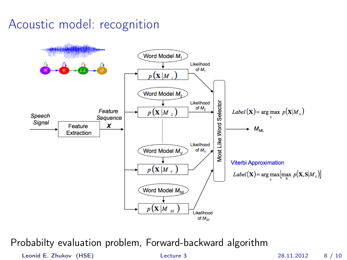## Acoustic model: recognition



Probabilty evaluation problem, Forward-backward algorithm

Leonid E. Zhukov (HSE) [Lecture 3](#page-0-0) 28.11.2012 8 / 10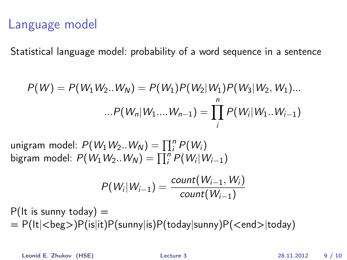## Language model

Statistical language model: probability of a word sequence in a sentence

$$
P(W) = P(W_1 W_2 ... W_N) = P(W_1) P(W_2 | W_1) P(W_3 | W_2, W_1) ...
$$

$$
... P(W_n | W_1 ... W_{n-1}) = \prod_{i}^{n} P(W_i | W_1 ... W_{i-1})
$$

unigram model:  $P(W_1W_2..W_N) = \prod_i^n P(W_i)$ bigram model:  $P(W_1W_2..W_N) = \prod_i^n P(W_i|W_{i-1})$ 

$$
P(W_i|W_{i-1}) = \frac{\text{count}(W_{i-1},W_i)}{\text{count}(W_{i-1})}
$$

 $P(lt$  is sunny today)  $=$  $= P(lt|\langle beg\rangle)P(is|it)P(sumy|is)P(today|sunny)P(\langle end\rangle|today)$ 

Leonid E. Zhukov (HSE) [Lecture 3](#page-0-0) 28.11.2012 9 / 10